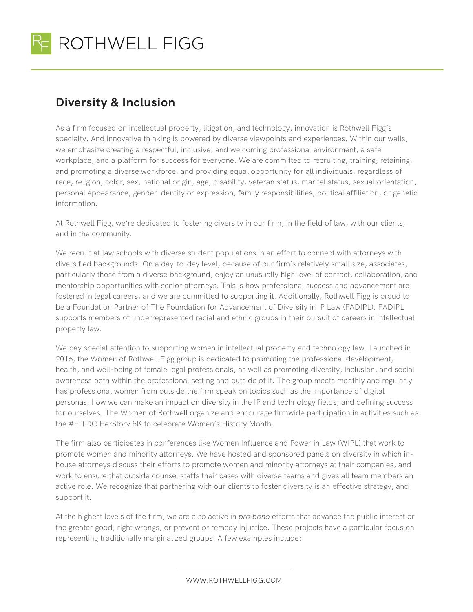

## **Diversity & Inclusion**

As a firm focused on intellectual property, litigation, and technology, innovation is Rothwell Figg's specialty. And innovative thinking is powered by diverse viewpoints and experiences. Within our walls, we emphasize creating a respectful, inclusive, and welcoming professional environment, a safe workplace, and a platform for success for everyone. We are committed to recruiting, training, retaining, and promoting a diverse workforce, and providing equal opportunity for all individuals, regardless of race, religion, color, sex, national origin, age, disability, veteran status, marital status, sexual orientation, personal appearance, gender identity or expression, family responsibilities, political affiliation, or genetic information.

At Rothwell Figg, we're dedicated to fostering diversity in our firm, in the field of law, with our clients, and in the community.

We recruit at law schools with diverse student populations in an effort to connect with attorneys with diversified backgrounds. On a day-to-day level, because of our firm's relatively small size, associates, particularly those from a diverse background, enjoy an unusually high level of contact, collaboration, and mentorship opportunities with senior attorneys. This is how professional success and advancement are fostered in legal careers, and we are committed to supporting it. Additionally, Rothwell Figg is proud to be a Foundation Partner of The Foundation for Advancement of Diversity in IP Law (FADIPL). FADIPL supports members of underrepresented racial and ethnic groups in their pursuit of careers in intellectual property law.

We pay special attention to supporting women in intellectual property and technology law. Launched in 2016, the Women of Rothwell Figg group is dedicated to promoting the professional development, health, and well-being of female legal professionals, as well as promoting diversity, inclusion, and social awareness both within the professional setting and outside of it. The group meets monthly and regularly has professional women from outside the firm speak on topics such as the importance of digital personas, how we can make an impact on diversity in the IP and technology fields, and defining success for ourselves. The Women of Rothwell organize and encourage firmwide participation in activities such as the #FITDC HerStory 5K to celebrate Women's History Month.

The firm also participates in conferences like Women Influence and Power in Law (WIPL) that work to promote women and minority attorneys. We have hosted and sponsored panels on diversity in which inhouse attorneys discuss their efforts to promote women and minority attorneys at their companies, and work to ensure that outside counsel staffs their cases with diverse teams and gives all team members an active role. We recognize that partnering with our clients to foster diversity is an effective strategy, and support it.

At the highest levels of the firm, we are also active in *pro bono* efforts that advance the public interest or the greater good, right wrongs, or prevent or remedy injustice. These projects have a particular focus on representing traditionally marginalized groups. A few examples include:

WWW.ROTHWELLFIGG.COM